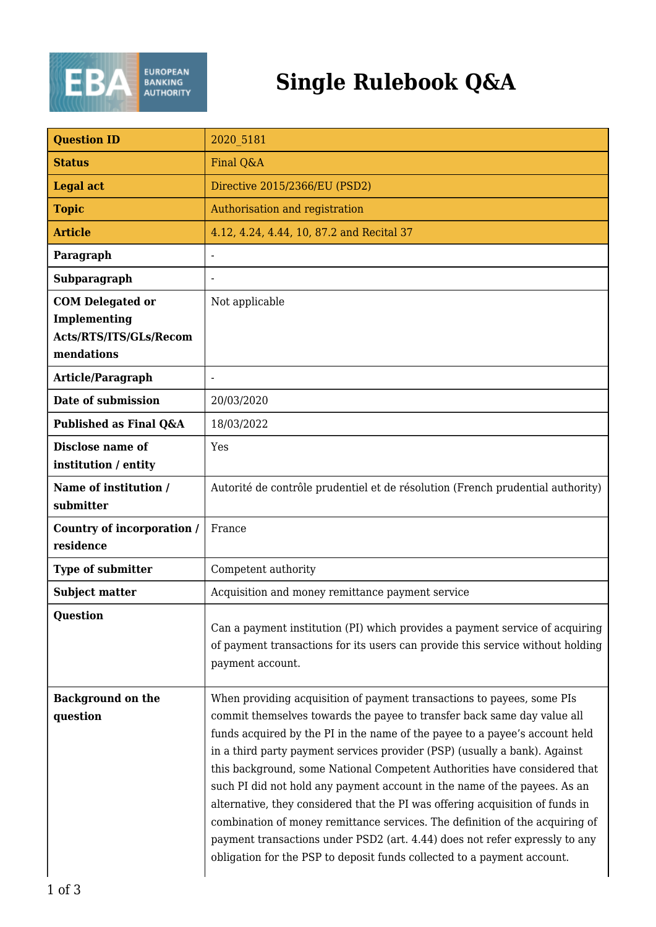

## **Single Rulebook Q&A**

| <b>Question ID</b>                       | 2020 5181                                                                                                                                                                                                                                                                                                                                                                                                                                                                                                                                                                                                                                                                                                                                                                                           |
|------------------------------------------|-----------------------------------------------------------------------------------------------------------------------------------------------------------------------------------------------------------------------------------------------------------------------------------------------------------------------------------------------------------------------------------------------------------------------------------------------------------------------------------------------------------------------------------------------------------------------------------------------------------------------------------------------------------------------------------------------------------------------------------------------------------------------------------------------------|
| <b>Status</b>                            | Final Q&A                                                                                                                                                                                                                                                                                                                                                                                                                                                                                                                                                                                                                                                                                                                                                                                           |
| <b>Legal act</b>                         | Directive 2015/2366/EU (PSD2)                                                                                                                                                                                                                                                                                                                                                                                                                                                                                                                                                                                                                                                                                                                                                                       |
| <b>Topic</b>                             | Authorisation and registration                                                                                                                                                                                                                                                                                                                                                                                                                                                                                                                                                                                                                                                                                                                                                                      |
| <b>Article</b>                           | 4.12, 4.24, 4.44, 10, 87.2 and Recital 37                                                                                                                                                                                                                                                                                                                                                                                                                                                                                                                                                                                                                                                                                                                                                           |
| Paragraph                                | -                                                                                                                                                                                                                                                                                                                                                                                                                                                                                                                                                                                                                                                                                                                                                                                                   |
| Subparagraph                             | -                                                                                                                                                                                                                                                                                                                                                                                                                                                                                                                                                                                                                                                                                                                                                                                                   |
| <b>COM Delegated or</b>                  | Not applicable                                                                                                                                                                                                                                                                                                                                                                                                                                                                                                                                                                                                                                                                                                                                                                                      |
| Implementing                             |                                                                                                                                                                                                                                                                                                                                                                                                                                                                                                                                                                                                                                                                                                                                                                                                     |
| Acts/RTS/ITS/GLs/Recom<br>mendations     |                                                                                                                                                                                                                                                                                                                                                                                                                                                                                                                                                                                                                                                                                                                                                                                                     |
| Article/Paragraph                        |                                                                                                                                                                                                                                                                                                                                                                                                                                                                                                                                                                                                                                                                                                                                                                                                     |
| Date of submission                       | 20/03/2020                                                                                                                                                                                                                                                                                                                                                                                                                                                                                                                                                                                                                                                                                                                                                                                          |
| Published as Final Q&A                   | 18/03/2022                                                                                                                                                                                                                                                                                                                                                                                                                                                                                                                                                                                                                                                                                                                                                                                          |
| Disclose name of<br>institution / entity | Yes                                                                                                                                                                                                                                                                                                                                                                                                                                                                                                                                                                                                                                                                                                                                                                                                 |
| Name of institution /<br>submitter       | Autorité de contrôle prudentiel et de résolution (French prudential authority)                                                                                                                                                                                                                                                                                                                                                                                                                                                                                                                                                                                                                                                                                                                      |
| Country of incorporation /<br>residence  | France                                                                                                                                                                                                                                                                                                                                                                                                                                                                                                                                                                                                                                                                                                                                                                                              |
|                                          | Competent authority                                                                                                                                                                                                                                                                                                                                                                                                                                                                                                                                                                                                                                                                                                                                                                                 |
| Type of submitter                        | Acquisition and money remittance payment service                                                                                                                                                                                                                                                                                                                                                                                                                                                                                                                                                                                                                                                                                                                                                    |
| <b>Subject matter</b>                    |                                                                                                                                                                                                                                                                                                                                                                                                                                                                                                                                                                                                                                                                                                                                                                                                     |
| Question                                 | Can a payment institution (PI) which provides a payment service of acquiring<br>of payment transactions for its users can provide this service without holding<br>payment account.                                                                                                                                                                                                                                                                                                                                                                                                                                                                                                                                                                                                                  |
| <b>Background on the</b><br>question     | When providing acquisition of payment transactions to payees, some PIs<br>commit themselves towards the payee to transfer back same day value all<br>funds acquired by the PI in the name of the payee to a payee's account held<br>in a third party payment services provider (PSP) (usually a bank). Against<br>this background, some National Competent Authorities have considered that<br>such PI did not hold any payment account in the name of the payees. As an<br>alternative, they considered that the PI was offering acquisition of funds in<br>combination of money remittance services. The definition of the acquiring of<br>payment transactions under PSD2 (art. 4.44) does not refer expressly to any<br>obligation for the PSP to deposit funds collected to a payment account. |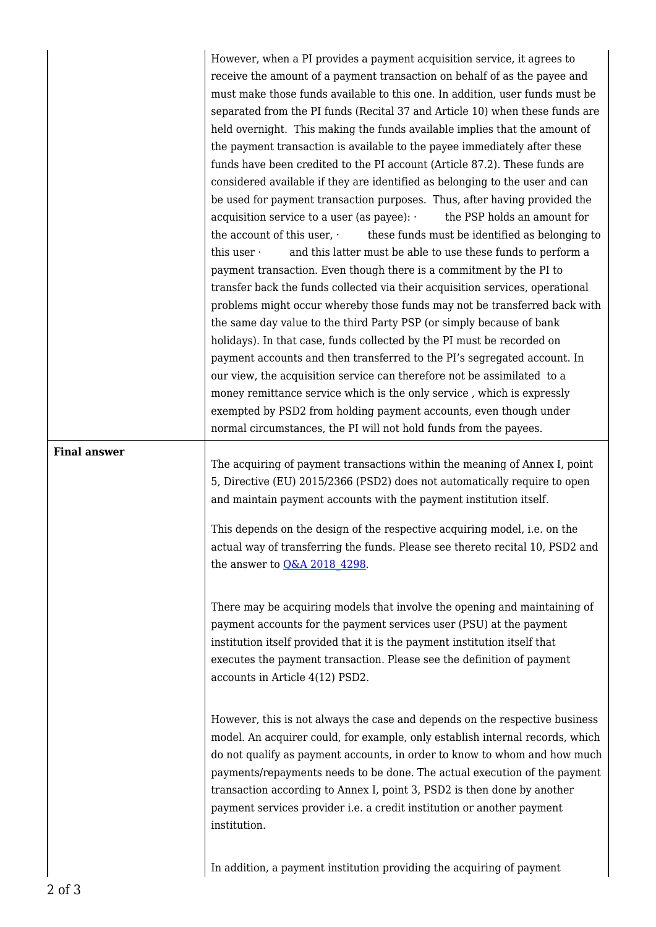However, when a PI provides a payment acquisition service, it agrees to receive the amount of a payment transaction on behalf of as the payee and must make those funds available to this one. In addition, user funds must be separated from the PI funds (Recital 37 and Article 10) when these funds are held overnight. This making the funds available implies that the amount of the payment transaction is available to the payee immediately after these funds have been credited to the PI account (Article 87.2). These funds are considered available if they are identified as belonging to the user and can be used for payment transaction purposes. Thus, after having provided the acquisition service to a user (as payee):  $\cdot$  the PSP holds an amount for the account of this user, these funds must be identified as belonging to this user  $\cdot$  and this latter must be able to use these funds to perform a payment transaction. Even though there is a commitment by the PI to transfer back the funds collected via their acquisition services, operational problems might occur whereby those funds may not be transferred back with the same day value to the third Party PSP (or simply because of bank holidays). In that case, funds collected by the PI must be recorded on payment accounts and then transferred to the PI's segregated account. In our view, the acquisition service can therefore not be assimilated to a money remittance service which is the only service , which is expressly exempted by PSD2 from holding payment accounts, even though under normal circumstances, the PI will not hold funds from the payees.

## **Final answer**

The acquiring of payment transactions within the meaning of Annex I, point 5, Directive (EU) 2015/2366 (PSD2) does not automatically require to open and maintain payment accounts with the payment institution itself.

This depends on the design of the respective acquiring model, i.e. on the actual way of transferring the funds. Please see thereto recital 10, PSD2 and the answer to  $Q&A$  2018 4298.

There may be acquiring models that involve the opening and maintaining of payment accounts for the payment services user (PSU) at the payment institution itself provided that it is the payment institution itself that executes the payment transaction. Please see the definition of payment accounts in Article 4(12) PSD2.

However, this is not always the case and depends on the respective business model. An acquirer could, for example, only establish internal records, which do not qualify as payment accounts, in order to know to whom and how much payments/repayments needs to be done. The actual execution of the payment transaction according to Annex I, point 3, PSD2 is then done by another payment services provider i.e. a credit institution or another payment institution.

In addition, a payment institution providing the acquiring of payment